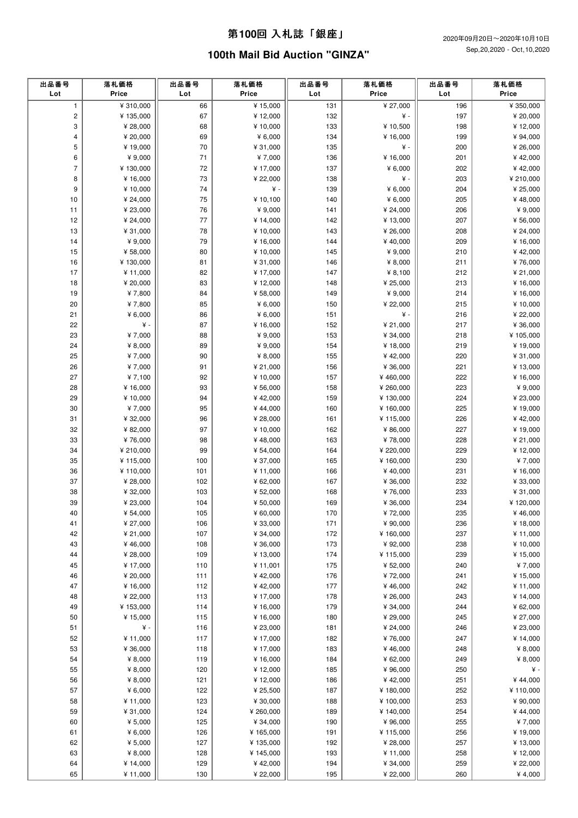| 出品番号<br>Lot              | 落札価格<br>Price        | 出品番号<br>Lot | 落札価格<br>Price                 | 出品番号<br>Lot | 落札価格<br>Price       | 出品番号<br>Lot | 落札価格<br>Price        |
|--------------------------|----------------------|-------------|-------------------------------|-------------|---------------------|-------------|----------------------|
| $\mathbf{1}$             | ¥ 310,000            | 66          | $\overline{\frac{4}{15,000}}$ | 131         | ¥ 27,000            | 196         | ¥ 350,000            |
| $\mathsf{2}\,$           | ¥ 135,000            | 67          | ¥12,000                       | 132         | ¥ -                 | 197         | ¥ 20,000             |
| 3                        | ¥ 28,000             | 68          | ¥ 10,000                      | 133         | ¥ 10,500            | 198         | ¥12,000              |
| 4                        | ¥ 20,000             | 69          | ¥ $6,000$                     | 134         | ¥ 16,000            | 199         | ¥ 94,000             |
| 5                        | ¥19,000              | 70          | ¥ 31,000                      | 135         | ¥ -                 | 200         | ¥ 26,000             |
| 6                        | ¥ 9,000              | 71          | ¥7,000                        | 136         | ¥ 16,000            | 201         | ¥42,000              |
| $\overline{\mathcal{I}}$ | ¥130,000             | 72          | ¥17,000                       | 137         | ¥ $6,000$           | 202         | ¥42,000              |
| 8                        | ¥16,000              | 73          | ¥ 22,000                      | 138         | ¥ -                 | 203         | ¥ 210,000            |
| 9                        | ¥ 10,000             | 74          | ¥ -                           | 139         | ¥ $6,000$           | 204         | ¥ 25,000             |
| 10                       | ¥ 24,000             | 75          | ¥ 10,100                      | 140         | ¥ $6,000$           | 205         | ¥48,000              |
| 11                       | ¥ 23,000             | 76          | ¥ 9,000                       | 141         | ¥ 24,000            | 206         | ¥ 9,000              |
| 12                       | ¥ 24,000             | 77          | ¥ 14,000                      | 142         | ¥13,000             | 207         | ¥ 56,000             |
| 13                       | ¥ 31,000             | 78          | ¥ 10,000                      | 143         | ¥ 26,000            | 208         | ¥ 24,000             |
| 14                       | ¥ 9,000              | 79          | ¥ 16,000                      | 144         | ¥40,000             | 209         | ¥ 16,000             |
| 15                       | ¥ 58,000             | 80          | ¥ 10,000                      | 145         | ¥ $9,000$           | 210         | ¥42,000              |
| 16                       | ¥130,000             | 81          | ¥ 31,000                      | 146         | ¥ $8,000$           | 211         | ¥76,000              |
| 17                       | ¥11,000              | 82          | ¥ 17,000                      | 147         | ¥ $8,100$           | 212         | ¥ 21,000             |
| 18                       | ¥ 20,000             | 83          | ¥12,000                       | 148         | ¥ 25,000            | 213         | ¥ 16,000             |
| 19                       | ¥7,800               | 84          | ¥ 58,000                      | 149         | ¥ 9,000             | 214         | ¥ 16,000             |
| 20                       | ¥7,800               | 85          | ¥ $6,000$                     | 150         | ¥ 22,000            | 215         | ¥ 10,000             |
| 21                       | ¥ $6,000$            | 86          | ¥ $6,000$                     | 151         | ¥ -                 | 216         | ¥ 22,000             |
| 22                       | ¥ -                  | 87          | ¥ 16,000                      | 152         | ¥ 21,000            | 217         | ¥ 36,000             |
| 23                       | ¥7,000               | 88          | ¥ 9,000                       | 153         | ¥ 34,000            | 218         | ¥105,000             |
| 24                       | ¥ $8,000$            | 89          | ¥ 9,000                       | 154         | ¥ 18,000            | 219         | ¥19,000              |
| 25                       | ¥7,000               | 90          | ¥ $8,000$                     | 155         | ¥42,000             | 220         | ¥ 31,000             |
| 26                       | ¥7,000               | 91          | ¥ 21,000                      | 156         | ¥ 36,000            | 221         | ¥ 13,000             |
| 27                       | ¥7,100               | 92          | ¥ 10,000                      | 157         | ¥460,000            | 222         | ¥ 16,000             |
| 28                       | ¥ 16,000             | 93          | ¥ 56,000                      | 158         | ¥ 260,000           | 223         | ¥ 9,000              |
| 29                       | ¥ 10,000             | 94          | ¥42,000                       | 159         | ¥130,000            | 224         | ¥ 23,000             |
| 30                       | ¥7,000               | 95          | ¥44,000                       | 160         | ¥ 160,000           | 225         | ¥ 19,000             |
| 31                       | ¥ 32,000             | 96          | ¥ 28,000                      | 161         | ¥115,000            | 226         | ¥42,000              |
| 32                       | ¥ 82,000             | 97          | ¥ 10,000                      | 162         | ¥ 86,000            | 227         | ¥ 19,000             |
| 33                       | ¥76,000              | 98          | ¥48,000                       | 163         | ¥78,000             | 228         | ¥ 21,000             |
| 34                       | ¥ 210,000            | 99          | ¥ 54,000                      | 164         | ¥ 220,000           | 229         | ¥12,000              |
| 35                       | ¥ 115,000            | 100         | ¥ 37,000                      | 165         | ¥160,000            | 230         | ¥7,000               |
| 36<br>37                 | ¥110,000             | 101         | ¥11,000                       | 166         | ¥40,000             | 231         | ¥ 16,000             |
| 38                       | ¥ 28,000<br>¥ 32,000 | 102<br>103  | ¥ 62,000<br>¥ 52,000          | 167<br>168  | ¥ 36,000<br>¥76,000 | 232<br>233  | ¥ 33,000<br>¥ 31,000 |
| 39                       | ¥ 23,000             | 104         | ¥ 50,000                      | 169         | ¥ 36,000            | 234         | ¥120,000             |
| 40                       | ¥ 54,000             | 105         | ¥ 60,000                      | 170         | ¥72,000             | 235         | ¥46,000              |
| 41                       | ¥ 27,000             | 106         | ¥ 33,000                      | 171         | ¥ 90,000            | 236         | ¥ 18,000             |
| 42                       | ¥ 21,000             | 107         | ¥ 34,000                      | 172         | ¥160,000            | 237         | ¥ 11,000             |
| 43                       | ¥46,000              | 108         | ¥ 36,000                      | 173         | ¥ 92,000            | 238         | ¥ 10,000             |
| 44                       | ¥ 28,000             | 109         | ¥ 13,000                      | 174         | ¥115,000            | 239         | ¥ 15,000             |
| 45                       | ¥ 17,000             | 110         | ¥ 11,001                      | 175         | ¥ 52,000            | 240         | ¥7,000               |
| 46                       | ¥ 20,000             | 111         | ¥42,000                       | 176         | ¥72,000             | 241         | ¥ 15,000             |
| 47                       | ¥16,000              | 112         | ¥42,000                       | 177         | ¥46,000             | 242         | ¥ 11,000             |
| 48                       | ¥ 22,000             | 113         | ¥ 17,000                      | 178         | ¥ 26,000            | 243         | ¥ 14,000             |
| 49                       | ¥ 153,000            | 114         | ¥ 16,000                      | 179         | ¥ 34,000            | 244         | ¥ 62,000             |
| 50                       | ¥ 15,000             | 115         | ¥ 16,000                      | 180         | ¥ 29,000            | 245         | ¥ 27,000             |
| 51                       | $\yen$ -             | 116         | ¥ 23,000                      | 181         | ¥ 24,000            | 246         | ¥ 23,000             |
| 52                       | ¥ 11,000             | 117         | ¥ 17,000                      | 182         | ¥76,000             | 247         | ¥ 14,000             |
| 53                       | ¥ 36,000             | 118         | ¥ 17,000                      | 183         | ¥46,000             | 248         | ¥ 8,000              |
| 54                       | ¥ 8,000              | 119         | ¥ 16,000                      | 184         | ¥ 62,000            | 249         | ¥ 8,000              |
| 55                       | ¥ $8,000$            | 120         | ¥ 12,000                      | 185         | ¥ 96,000            | 250         | ¥ -                  |
| 56                       | ¥ $8,000$            | 121         | ¥ 12,000                      | 186         | ¥42,000             | 251         | ¥44,000              |
| 57                       | ¥ $6,000$            | 122         | ¥ 25,500                      | 187         | ¥180,000            | 252         | ¥110,000             |
| 58                       | ¥ 11,000             | 123         | ¥ 30,000                      | 188         | ¥100,000            | 253         | ¥ 90,000             |
| 59                       | ¥ 31,000             | 124         | ¥ 260,000                     | 189         | ¥140,000            | 254         | ¥44,000              |
| 60                       | ¥ $5,000$            | 125         | ¥ 34,000                      | 190         | ¥ 96,000            | 255         | ¥7,000               |
| 61                       | ¥ $6,000$            | 126         | ¥ 165,000                     | 191         | ¥115,000            | 256         | ¥ 19,000             |
| 62                       | ¥ 5,000              | 127         | ¥ 135,000                     | 192         | ¥ 28,000            | 257         | ¥ 13,000             |
| 63                       | ¥ 8,000              | 128         | ¥ 145,000                     | 193         | ¥ 11,000            | 258         | ¥ 12,000             |
| 64                       | ¥ 14,000             | 129         | ¥42,000                       | 194         | ¥ 34,000            | 259         | ¥ 22,000             |
| 65                       | ¥11,000              | 130         | ¥ 22,000                      | 195         | ¥ 22,000            | 260         | ¥4,000               |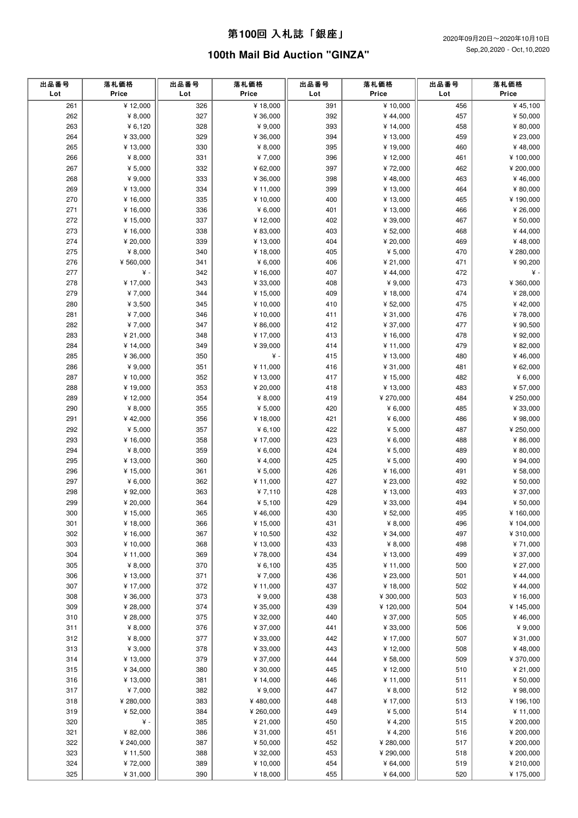| 出品番号<br>Lot | 落札価格<br>Price | 出品番号<br>Lot | 落札価格<br>Price | 出品番号<br>Lot | 落札価格<br>Price | 出品番号<br>Lot | 落札価格<br>Price |
|-------------|---------------|-------------|---------------|-------------|---------------|-------------|---------------|
| 261         | ¥12,000       | 326         | ¥18,000       | 391         | ¥ 10,000      | 456         | ¥45,100       |
| 262         | ¥ $8,000$     | 327         | ¥ 36,000      | 392         | ¥44,000       | 457         | ¥ 50,000      |
| 263         | ¥ $6,120$     | 328         | ¥ 9,000       | 393         | ¥ 14,000      | 458         | ¥ 80,000      |
| 264         | ¥ 33,000      | 329         | ¥ 36,000      | 394         | ¥ 13,000      | 459         | ¥ 23,000      |
| 265         | ¥13,000       | 330         | ¥ 8,000       | 395         | ¥19,000       | 460         | ¥48,000       |
| 266         | ¥ $8,000$     | 331         | ¥7,000        | 396         | ¥ 12,000      | 461         | ¥ 100,000     |
| 267         | ¥ $5,000$     | 332         | ¥ 62,000      | 397         | ¥72,000       | 462         | ¥ 200,000     |
| 268         | ¥ 9,000       | 333         | ¥ 36,000      | 398         | ¥48,000       | 463         | ¥46,000       |
| 269         | ¥ 13,000      | 334         | ¥ 11,000      | 399         | ¥13,000       | 464         | ¥ 80,000      |
| 270         | ¥ 16,000      | 335         | ¥ 10,000      | 400         | ¥ 13,000      | 465         | ¥190,000      |
| 271         | ¥ 16,000      | 336         | ¥ $6,000$     | 401         | ¥ 13,000      | 466         | ¥ 26,000      |
| 272         | ¥ 15,000      | 337         | ¥ 12,000      | 402         | ¥ 39,000      | 467         | ¥ 50,000      |
| 273         | ¥ 16,000      | 338         | ¥ 83,000      | 403         | ¥ 52,000      | 468         | ¥44,000       |
| 274         | ¥ 20,000      | 339         | ¥ 13,000      | 404         | ¥ 20,000      | 469         | ¥48,000       |
| 275         | ¥ $8,000$     | 340         | ¥18,000       | 405         | ¥ $5,000$     | 470         | ¥ 280,000     |
| 276         | ¥ 560,000     | 341         | ¥ $6,000$     | 406         | ¥ 21,000      | 471         | ¥ 90,200      |
| 277         | ¥ -           | 342         | ¥ 16,000      | 407         | ¥44,000       | 472         | ¥ -           |
| 278         | ¥17,000       | 343         | ¥ 33,000      | 408         | ¥ 9,000       | 473         | ¥ 360,000     |
| 279         | ¥7,000        | 344         | ¥ 15,000      | 409         | ¥ 18,000      | 474         | ¥ 28,000      |
| 280         | ¥ $3,500$     | 345         | ¥ 10,000      | 410         | ¥ 52,000      | 475         | ¥42,000       |
| 281         | ¥7,000        | 346         | ¥10,000       | 411         | ¥ 31,000      | 476         | ¥78,000       |
| 282         | ¥7,000        | 347         | ¥ 86,000      | 412         | ¥ 37,000      | 477         | ¥ 90,500      |
| 283         | ¥ 21,000      | 348         | ¥ 17,000      | 413         | ¥16,000       | 478         | ¥ 92,000      |
| 284         | ¥ 14,000      | 349         | ¥ 39,000      | 414         | ¥ 11,000      | 479         | ¥ 82,000      |
| 285         | ¥ 36,000      | 350         | ¥ -           | 415         | ¥ 13,000      | 480         | ¥46,000       |
| 286         | ¥ 9,000       | 351         | ¥ 11,000      | 416         | ¥ 31,000      | 481         | ¥ 62,000      |
| 287         | ¥10,000       | 352         | ¥ 13,000      | 417         | ¥ 15,000      | 482         | ¥ $6,000$     |
| 288         | ¥19,000       | 353         | ¥ 20,000      | 418         | ¥ 13,000      | 483         | ¥ 57,000      |
| 289         | ¥12,000       | 354         | ¥ 8,000       | 419         | ¥ 270,000     | 484         | ¥ 250,000     |
| 290         | ¥ 8,000       | 355         | ¥ $5,000$     | 420         | ¥ $6,000$     | 485         | ¥ 33,000      |
| 291         | ¥42,000       | 356         | ¥ 18,000      | 421         | ¥ $6,000$     | 486         | ¥ 98,000      |
| 292         | ¥ $5,000$     | 357         | ¥ 6,100       | 422         | ¥ 5,000       | 487         | ¥ 250,000     |
| 293         | ¥ 16,000      | 358         | ¥ 17,000      | 423         | ¥ $6,000$     | 488         | ¥ 86,000      |
| 294         | ¥ $8,000$     | 359         | ¥ $6,000$     | 424         | ¥ $5,000$     | 489         | ¥ 80,000      |
| 295         | ¥ 13,000      | 360         | ¥ 4,000       | 425         | ¥ $5,000$     | 490         | ¥ 94,000      |
| 296         | ¥15,000       | 361         | ¥ $5,000$     | 426         | ¥16,000       | 491         | ¥ 58,000      |
| 297         | ¥ $6,000$     | 362         | ¥11,000       | 427         | ¥ 23,000      | 492         | ¥ 50,000      |
| 298         | ¥ 92,000      | 363         | ¥ $7,110$     | 428         | ¥13,000       | 493         | ¥ 37,000      |
| 299         | ¥ 20,000      | 364         | ¥ $5,100$     | 429         | ¥ 33,000      | 494         | ¥ 50,000      |
| 300         | ¥ 15,000      | 365         | ¥46,000       | 430         | ¥ 52,000      | 495         | ¥ 160,000     |
| 301         | ¥18,000       | 366         | ¥ 15,000      | 431         | ¥ $8,000$     | 496         | ¥ 104,000     |
| 302         | ¥16,000       | 367         | ¥ 10,500      | 432         | ¥ 34,000      | 497         | ¥ 310,000     |
| 303         | ¥ 10,000      | 368         | ¥ 13,000      | 433         | ¥ $8,000$     | 498         | ¥71,000       |
| 304         | ¥ 11,000      | 369         | ¥78,000       | 434         | ¥ 13,000      | 499         | ¥ 37,000      |
| 305         | ¥ 8,000       | 370         | ¥ 6,100       | 435         | ¥ 11,000      | 500         | ¥ 27,000      |
| 306         | ¥13,000       | 371         | ¥7,000        | 436         | ¥ 23,000      | 501         | ¥44,000       |
| 307         | ¥17,000       | 372         | ¥ 11,000      | 437         | ¥ 18,000      | 502         | ¥44,000       |
| 308         | ¥ 36,000      | 373         | ¥ 9,000       | 438         | ¥ 300,000     | 503         | ¥16,000       |
| 309         | ¥ 28,000      | 374         | ¥ 35,000      | 439         | ¥120,000      | 504         | ¥ 145,000     |
| 310         | ¥ 28,000      | 375         | ¥ 32,000      | 440         | ¥ 37,000      | 505         | ¥46,000       |
| 311         | ¥ $8,000$     | 376         | ¥ 37,000      | 441         | ¥ 33,000      | 506         | ¥ 9,000       |
| 312         | ¥ $8,000$     | 377         | ¥ 33,000      | 442         | ¥ 17,000      | 507         | ¥ 31,000      |
| 313         | ¥ 3,000       | 378         | ¥ 33,000      | 443         | ¥ 12,000      | 508         | ¥48,000       |
| 314         | ¥ 13,000      | 379         | ¥ 37,000      | 444         | ¥ 58,000      | 509         | ¥ 370,000     |
| 315         | ¥ 34,000      | 380         | ¥ 30,000      | 445         | ¥12,000       | 510         | ¥ 21,000      |
| 316         | ¥13,000       | 381         | ¥ 14,000      | 446         | ¥ 11,000      | 511         | ¥ 50,000      |
| 317         | ¥7,000        | 382         | ¥ 9,000       | 447         | ¥ $8,000$     | 512         | ¥98,000       |
| 318         | ¥ 280,000     | 383         | ¥480,000      | 448         | ¥ 17,000      | 513         | ¥196,100      |
| 319         | ¥ 52,000      | 384         | ¥ 260,000     | 449         | ¥ $5,000$     | 514         | ¥ 11,000      |
| 320         | ¥ -           | 385         | ¥ 21,000      | 450         | ¥4,200        | 515         | ¥ 200,000     |
| 321         | ¥ 82,000      | 386         | ¥ 31,000      | 451         | ¥4,200        | 516         | ¥ 200,000     |
| 322         | ¥ 240,000     | 387         | ¥ 50,000      | 452         | ¥ 280,000     | 517         | ¥ 200,000     |
| 323         | ¥ 11,500      | 388         | ¥ 32,000      | 453         | ¥ 290,000     | 518         | ¥ 200,000     |
| 324         | ¥72,000       | 389         | ¥ 10,000      | 454         | ¥ 64,000      | 519         | ¥ 210,000     |
| 325         | ¥ 31,000      | 390         | ¥ 18,000      | 455         | ¥ 64,000      | 520         | ¥175,000      |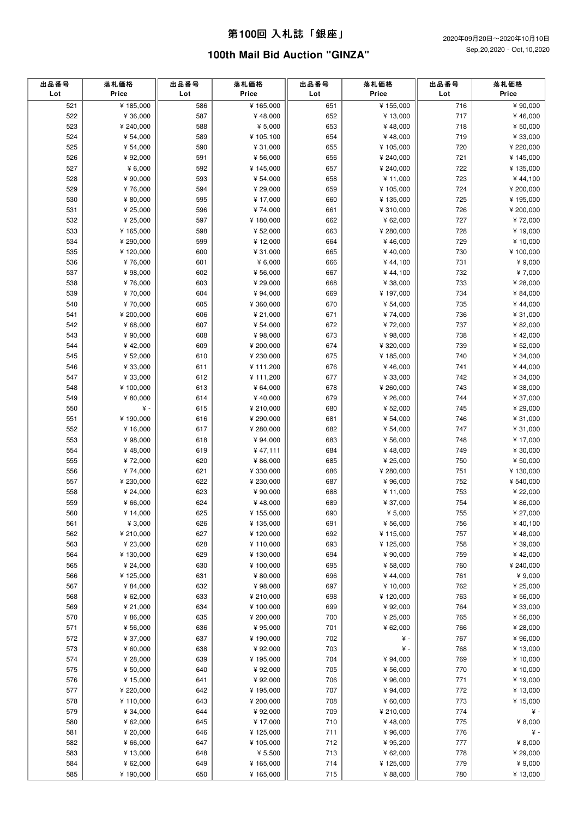| 出品番号<br>Lot | 落札価格<br>Price | 出品番号<br>Lot | 落札価格<br>Price | 出品番号<br>Lot | 落札価格<br>Price | 出品番号<br>Lot | 落札価格<br>Price |
|-------------|---------------|-------------|---------------|-------------|---------------|-------------|---------------|
| 521         | ¥185,000      | 586         | ¥165,000      | 651         | ¥155,000      | 716         | ¥ 90,000      |
| 522         | ¥ 36,000      | 587         | ¥48,000       | 652         | ¥ 13,000      | 717         | ¥46,000       |
| 523         | ¥ 240,000     | 588         | ¥ 5,000       | 653         | ¥48,000       | 718         | ¥ 50,000      |
| 524         | ¥ 54,000      | 589         | ¥ 105,100     | 654         | ¥48,000       | 719         | ¥ 33,000      |
| 525         | ¥ 54,000      | 590         | ¥ 31,000      | 655         | ¥105,000      | 720         | ¥ 220,000     |
| 526         | ¥ 92,000      | 591         | ¥ 56,000      | 656         | ¥ 240,000     | 721         | ¥ 145,000     |
| 527         | ¥ $6,000$     | 592         | ¥ 145,000     | 657         | ¥ 240,000     | 722         | ¥135,000      |
| 528         | ¥ 90,000      | 593         | ¥ 54,000      | 658         | ¥ 11,000      | 723         | ¥ 44,100      |
| 529         | ¥76,000       | 594         | ¥ 29,000      | 659         | ¥105,000      | 724         | ¥ 200,000     |
| 530         | ¥ 80,000      | 595         | ¥ 17,000      | 660         | ¥135,000      | 725         | ¥195,000      |
| 531         | ¥ 25,000      | 596         | ¥74,000       | 661         | ¥ 310,000     | 726         | ¥ 200,000     |
| 532         | ¥ 25,000      | 597         | ¥ 180,000     | 662         | ¥ 62,000      | 727         | ¥72,000       |
| 533         | ¥165,000      | 598         | ¥ 52,000      | 663         | ¥ 280,000     | 728         | ¥19,000       |
| 534         | ¥ 290,000     | 599         | ¥12,000       | 664         | ¥46,000       | 729         | ¥ 10,000      |
| 535         | ¥120,000      | 600         | ¥ 31,000      | 665         | ¥40,000       | 730         | ¥100,000      |
| 536         | ¥76,000       | 601         | ¥ 6,000       | 666         | ¥44,100       | 731         | ¥ 9,000       |
| 537         | ¥ 98,000      | 602         | ¥ 56,000      | 667         | ¥44,100       | 732         | ¥7,000        |
| 538         | ¥76,000       | 603         | ¥ 29,000      | 668         | ¥ 38,000      | 733         | ¥ 28,000      |
| 539         | ¥70,000       | 604         | ¥ 94,000      | 669         | ¥197,000      | 734         | ¥ 84,000      |
| 540         | ¥70,000       | 605         | ¥ 360,000     | 670         | ¥ 54,000      | 735         | ¥44,000       |
| 541         | ¥ 200,000     | 606         | ¥ 21,000      | 671         | ¥74,000       | 736         | ¥ 31,000      |
| 542         | ¥ 68,000      | 607         | ¥ 54,000      | 672         | ¥72,000       | 737         | ¥ 82,000      |
| 543         | ¥ 90,000      | 608         | ¥98,000       | 673         | ¥ 98,000      | 738         | ¥42,000       |
| 544         | ¥42,000       | 609         | ¥ 200,000     | 674         | ¥ 320,000     | 739         | ¥ 52,000      |
| 545         | ¥ 52,000      | 610         | ¥ 230,000     | 675         | ¥185,000      | 740         | ¥ 34,000      |
| 546         | ¥ 33,000      | 611         | ¥111,200      | 676         | ¥46,000       | 741         | ¥44,000       |
| 547         | ¥ 33,000      | 612         | ¥ 111,200     | 677         | ¥ 33,000      | 742         | ¥ 34,000      |
| 548         | ¥100,000      | 613         | ¥ 64,000      | 678         | ¥ 260,000     | 743         | ¥ 38,000      |
| 549         | ¥ 80,000      | 614         | ¥40,000       | 679         | ¥ 26,000      | 744         | ¥ 37,000      |
| 550         | ¥ -           | 615         | ¥ 210,000     | 680         | ¥ 52,000      | 745         | ¥ 29,000      |
| 551         | ¥190,000      | 616         | ¥ 290,000     | 681         | ¥ 54,000      | 746         | ¥ 31,000      |
| 552         | ¥ 16,000      | 617         | ¥ 280,000     | 682         | ¥ 54,000      | 747         | ¥ 31,000      |
| 553         | ¥ 98,000      | 618         | ¥ 94,000      | 683         | ¥ 56,000      | 748         | ¥ 17,000      |
| 554         | ¥48,000       | 619         | ¥47,111       | 684         | ¥48,000       | 749         | ¥ 30,000      |
| 555         | ¥72,000       | 620         | ¥ 86,000      | 685         | ¥ 25,000      | 750         | ¥ 50,000      |
| 556         | ¥74,000       | 621         | ¥ 330,000     | 686         | ¥ 280,000     | 751         | ¥130,000      |
| 557         | ¥ 230,000     | 622         | ¥ 230,000     | 687         | ¥ 96,000      | 752         | ¥ 540,000     |
| 558         | ¥ 24,000      | 623         | ¥ 90,000      | 688         | ¥ 11,000      | 753         | ¥ 22,000      |
| 559         | ¥ 66,000      | 624         | ¥48,000       | 689         | ¥ 37,000      | 754         | ¥ 86,000      |
| 560         | ¥ 14,000      | 625         | ¥ 155,000     | 690         | ¥ $5,000$     | 755         | ¥ 27,000      |
| 561         | ¥ 3,000       | 626         | ¥ 135,000     | 691         | ¥ 56,000      | 756         | ¥40,100       |
| 562         | ¥ 210,000     | 627         | ¥120,000      | 692         | ¥115,000      | 757         | ¥48,000       |
| 563         | ¥ 23,000      | 628         | ¥ 110,000     | 693         | ¥125,000      | 758         | ¥ 39,000      |
| 564         | ¥130,000      | 629         | ¥ 130,000     | 694         | ¥ 90,000      | 759         | ¥42,000       |
| 565         | ¥ 24,000      | 630         | ¥ 100,000     | 695         | ¥ 58,000      | 760         | ¥ 240,000     |
| 566         | ¥125,000      | 631         | ¥ 80,000      | 696         | ¥44,000       | 761         | ¥ 9,000       |
| 567         | ¥ 84,000      | 632         | ¥ 98,000      | 697         | ¥ 10,000      | 762         | ¥ 25,000      |
| 568         | ¥ 62,000      | 633         | ¥ 210,000     | 698         | ¥120,000      | 763         | ¥ 56,000      |
| 569         | ¥ 21,000      | 634         | ¥ 100,000     | 699         | ¥ 92,000      | 764         | ¥ 33,000      |
| 570         | ¥ 86,000      | 635         | ¥ 200,000     | 700         | ¥ 25,000      | 765         | ¥ 56,000      |
| 571         | ¥ 56,000      | 636         | ¥ 95,000      | 701         | ¥ 62,000      | 766         | ¥ 28,000      |
| 572         | ¥ 37,000      | 637         | ¥ 190,000     | 702         | ¥ -           | 767         | ¥ 96,000      |
| 573         | ¥ 60,000      | 638         | ¥92,000       | 703         | ¥ -           | 768         | ¥ 13,000      |
| 574         | ¥ 28,000      | 639         | ¥ 195,000     | 704         | ¥ 94,000      | 769         | ¥ 10,000      |
| 575         | ¥ 50,000      | 640         | ¥92,000       | 705         | ¥ 56,000      | 770         | ¥ 10,000      |
| 576         | ¥ 15,000      | 641         | ¥92,000       | 706         | ¥ 96,000      | 771         | ¥ 19,000      |
| 577         | ¥ 220,000     | 642         | ¥ 195,000     | 707         | ¥ 94,000      | 772         | ¥ 13,000      |
| 578         | ¥110,000      | 643         | ¥ 200,000     | 708         | ¥ 60,000      | 773         | ¥ 15,000      |
| 579         | ¥ 34,000      | 644         | ¥92,000       | 709         | ¥ 210,000     | 774         | ¥ -           |
| 580         | ¥ 62,000      | 645         | ¥ 17,000      | 710         | ¥48,000       | 775         | ¥ $8,000$     |
| 581         | ¥ 20,000      | 646         | ¥ 125,000     | 711         | ¥ 96,000      | 776         | ¥ -           |
| 582         | ¥ 66,000      | 647         | ¥ 105,000     | 712         | ¥ 95,200      | 777         | ¥ $8,000$     |
| 583         | ¥ 13,000      | 648         | ¥ 5,500       | 713         | ¥ 62,000      | 778         | ¥ 29,000      |
| 584         | ¥ 62,000      | 649         | ¥ 165,000     | 714         | ¥125,000      | 779         | ¥ 9,000       |
| 585         | ¥190,000      | 650         | ¥ 165,000     | 715         | ¥ 88,000      | 780         | ¥13,000       |